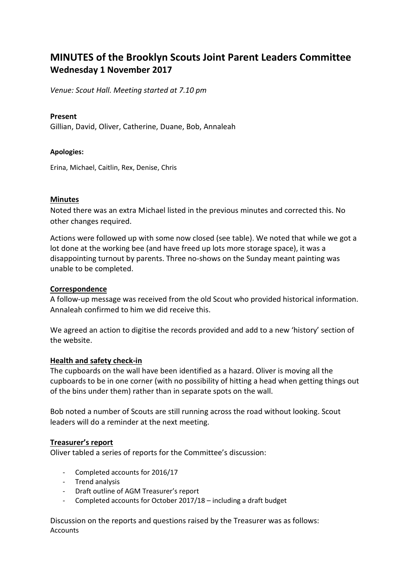# **MINUTES of the Brooklyn Scouts Joint Parent Leaders Committee Wednesday 1 November 2017**

*Venue: Scout Hall. Meeting started at 7.10 pm*

## **Present**

Gillian, David, Oliver, Catherine, Duane, Bob, Annaleah

## **Apologies:**

Erina, Michael, Caitlin, Rex, Denise, Chris

## **Minutes**

Noted there was an extra Michael listed in the previous minutes and corrected this. No other changes required.

Actions were followed up with some now closed (see table). We noted that while we got a lot done at the working bee (and have freed up lots more storage space), it was a disappointing turnout by parents. Three no-shows on the Sunday meant painting was unable to be completed.

## **Correspondence**

A follow-up message was received from the old Scout who provided historical information. Annaleah confirmed to him we did receive this.

We agreed an action to digitise the records provided and add to a new 'history' section of the website.

#### **Health and safety check-in**

The cupboards on the wall have been identified as a hazard. Oliver is moving all the cupboards to be in one corner (with no possibility of hitting a head when getting things out of the bins under them) rather than in separate spots on the wall.

Bob noted a number of Scouts are still running across the road without looking. Scout leaders will do a reminder at the next meeting.

## **Treasurer's report**

Oliver tabled a series of reports for the Committee's discussion:

- Completed accounts for 2016/17
- Trend analysis
- Draft outline of AGM Treasurer's report
- Completed accounts for October 2017/18 including a draft budget

Discussion on the reports and questions raised by the Treasurer was as follows: **Accounts**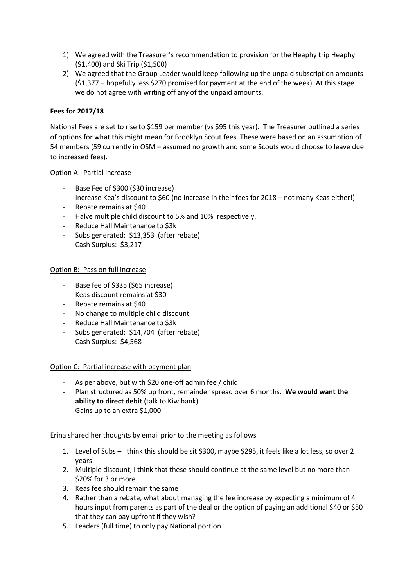- 1) We agreed with the Treasurer's recommendation to provision for the Heaphy trip Heaphy (\$1,400) and Ski Trip (\$1,500)
- 2) We agreed that the Group Leader would keep following up the unpaid subscription amounts (\$1,377 – hopefully less \$270 promised for payment at the end of the week). At this stage we do not agree with writing off any of the unpaid amounts.

## **Fees for 2017/18**

National Fees are set to rise to \$159 per member (vs \$95 this year). The Treasurer outlined a series of options for what this might mean for Brooklyn Scout fees. These were based on an assumption of 54 members (59 currently in OSM – assumed no growth and some Scouts would choose to leave due to increased fees).

#### Option A: Partial increase

- Base Fee of \$300 (\$30 increase)
- Increase Kea's discount to \$60 (no increase in their fees for 2018 not many Keas either!)
- Rebate remains at \$40
- Halve multiple child discount to 5% and 10% respectively.
- Reduce Hall Maintenance to \$3k
- Subs generated: \$13,353 (after rebate)
- Cash Surplus: \$3,217

## Option B: Pass on full increase

- Base fee of \$335 (\$65 increase)
- Keas discount remains at \$30
- Rebate remains at \$40
- No change to multiple child discount
- Reduce Hall Maintenance to \$3k
- Subs generated: \$14,704 (after rebate)
- Cash Surplus: \$4,568

#### Option C: Partial increase with payment plan

- As per above, but with \$20 one-off admin fee / child
- Plan structured as 50% up front, remainder spread over 6 months. **We would want the ability to direct debit** (talk to Kiwibank)
- Gains up to an extra \$1,000

Erina shared her thoughts by email prior to the meeting as follows

- 1. Level of Subs I think this should be sit \$300, maybe \$295, it feels like a lot less, so over 2 years
- 2. Multiple discount, I think that these should continue at the same level but no more than \$20% for 3 or more
- 3. Keas fee should remain the same
- 4. Rather than a rebate, what about managing the fee increase by expecting a minimum of 4 hours input from parents as part of the deal or the option of paying an additional \$40 or \$50 that they can pay upfront if they wish?
- 5. Leaders (full time) to only pay National portion.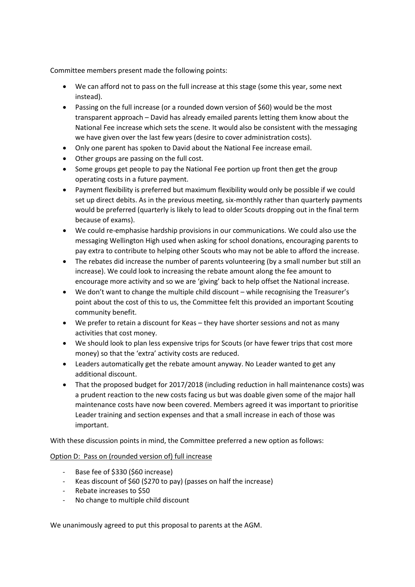Committee members present made the following points:

- We can afford not to pass on the full increase at this stage (some this year, some next instead).
- Passing on the full increase (or a rounded down version of \$60) would be the most transparent approach – David has already emailed parents letting them know about the National Fee increase which sets the scene. It would also be consistent with the messaging we have given over the last few years (desire to cover administration costs).
- Only one parent has spoken to David about the National Fee increase email.
- Other groups are passing on the full cost.
- Some groups get people to pay the National Fee portion up front then get the group operating costs in a future payment.
- Payment flexibility is preferred but maximum flexibility would only be possible if we could set up direct debits. As in the previous meeting, six-monthly rather than quarterly payments would be preferred (quarterly is likely to lead to older Scouts dropping out in the final term because of exams).
- We could re-emphasise hardship provisions in our communications. We could also use the messaging Wellington High used when asking for school donations, encouraging parents to pay extra to contribute to helping other Scouts who may not be able to afford the increase.
- The rebates did increase the number of parents volunteering (by a small number but still an increase). We could look to increasing the rebate amount along the fee amount to encourage more activity and so we are 'giving' back to help offset the National increase.
- We don't want to change the multiple child discount while recognising the Treasurer's point about the cost of this to us, the Committee felt this provided an important Scouting community benefit.
- We prefer to retain a discount for Keas they have shorter sessions and not as many activities that cost money.
- We should look to plan less expensive trips for Scouts (or have fewer trips that cost more money) so that the 'extra' activity costs are reduced.
- Leaders automatically get the rebate amount anyway. No Leader wanted to get any additional discount.
- That the proposed budget for 2017/2018 (including reduction in hall maintenance costs) was a prudent reaction to the new costs facing us but was doable given some of the major hall maintenance costs have now been covered. Members agreed it was important to prioritise Leader training and section expenses and that a small increase in each of those was important.

With these discussion points in mind, the Committee preferred a new option as follows:

#### Option D: Pass on (rounded version of) full increase

- Base fee of \$330 (\$60 increase)
- Keas discount of \$60 (\$270 to pay) (passes on half the increase)
- Rebate increases to \$50
- No change to multiple child discount

We unanimously agreed to put this proposal to parents at the AGM.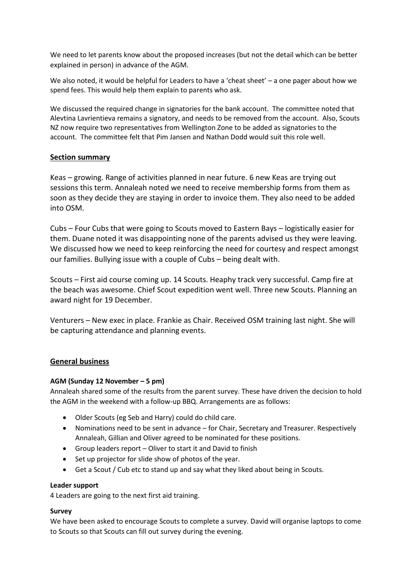We need to let parents know about the proposed increases (but not the detail which can be better explained in person) in advance of the AGM.

We also noted, it would be helpful for Leaders to have a 'cheat sheet' – a one pager about how we spend fees. This would help them explain to parents who ask.

We discussed the required change in signatories for the bank account. The committee noted that Alevtina Lavrientieva remains a signatory, and needs to be removed from the account. Also, Scouts NZ now require two representatives from Wellington Zone to be added as signatories to the account. The committee felt that Pim Jansen and Nathan Dodd would suit this role well.

## **Section summary**

Keas – growing. Range of activities planned in near future. 6 new Keas are trying out sessions this term. Annaleah noted we need to receive membership forms from them as soon as they decide they are staying in order to invoice them. They also need to be added into OSM.

Cubs – Four Cubs that were going to Scouts moved to Eastern Bays – logistically easier for them. Duane noted it was disappointing none of the parents advised us they were leaving. We discussed how we need to keep reinforcing the need for courtesy and respect amongst our families. Bullying issue with a couple of Cubs – being dealt with.

Scouts – First aid course coming up. 14 Scouts. Heaphy track very successful. Camp fire at the beach was awesome. Chief Scout expedition went well. Three new Scouts. Planning an award night for 19 December.

Venturers – New exec in place. Frankie as Chair. Received OSM training last night. She will be capturing attendance and planning events.

## **General business**

#### **AGM (Sunday 12 November – 5 pm)**

Annaleah shared some of the results from the parent survey. These have driven the decision to hold the AGM in the weekend with a follow-up BBQ. Arrangements are as follows:

- Older Scouts (eg Seb and Harry) could do child care.
- Nominations need to be sent in advance for Chair, Secretary and Treasurer. Respectively Annaleah, Gillian and Oliver agreed to be nominated for these positions.
- Group leaders report Oliver to start it and David to finish
- Set up projector for slide show of photos of the year.
- Get a Scout / Cub etc to stand up and say what they liked about being in Scouts.

#### **Leader support**

4 Leaders are going to the next first aid training.

#### **Survey**

We have been asked to encourage Scouts to complete a survey. David will organise laptops to come to Scouts so that Scouts can fill out survey during the evening.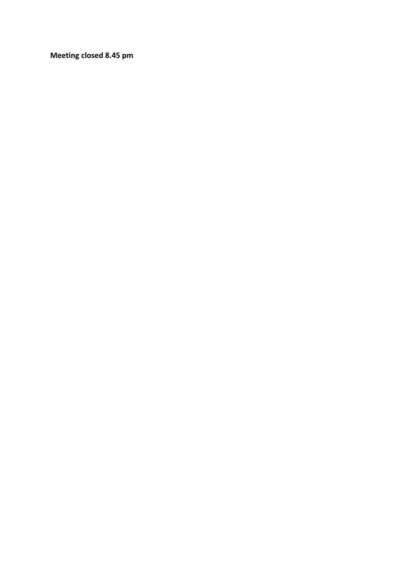**Meeting closed 8.45 pm**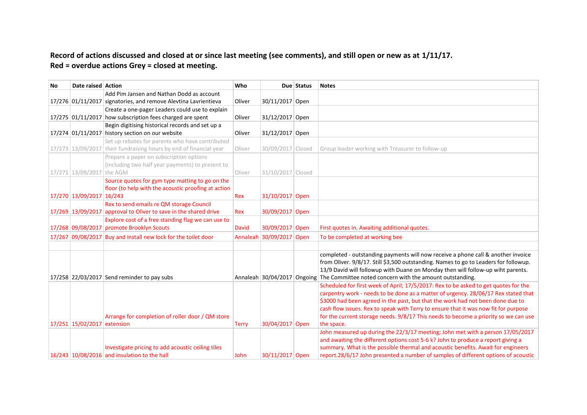## **Record of actions discussed and closed at or since last meeting (see comments), and still open or new as at 1/11/17. Red = overdue actions Grey = closed at meeting.**

| No | Date raised Action          |                                                                    | Who          |                          | Due Status | <b>Notes</b>                                                                         |
|----|-----------------------------|--------------------------------------------------------------------|--------------|--------------------------|------------|--------------------------------------------------------------------------------------|
|    |                             | Add Pim Jansen and Nathan Dodd as account                          |              |                          |            |                                                                                      |
|    |                             | 17/276 01/11/2017 signatories, and remove Alevtina Lavrientieva    | Oliver       | 30/11/2017 Open          |            |                                                                                      |
|    |                             | Create a one-pager Leaders could use to explain                    |              |                          |            |                                                                                      |
|    |                             | 17/275 01/11/2017 how subscription fees charged are spent          | Oliver       | 31/12/2017 Open          |            |                                                                                      |
|    |                             | Begin digitising historical records and set up a                   |              |                          |            |                                                                                      |
|    |                             | 17/274 01/11/2017 history section on our website                   | Oliver       | 31/12/2017 Open          |            |                                                                                      |
|    |                             | Set up rebates for parents who have contributed                    |              |                          |            |                                                                                      |
|    |                             | 17/273 13/09/2017 their fundraising hours by end of financial year | Oliver       | 30/09/2017 Closed        |            | Group leader working with Treasurer to follow-up                                     |
|    |                             | Prepare a paper on subscription options                            |              |                          |            |                                                                                      |
|    |                             | (including two half year payments) to present to                   |              |                          |            |                                                                                      |
|    | 17/271 13/09/2017 the AGM   |                                                                    | Oliver       | 31/10/2017 Closed        |            |                                                                                      |
|    |                             | Source quotes for gym type matting to go on the                    |              |                          |            |                                                                                      |
|    |                             | floor (to help with the acoustic proofing at action                |              |                          |            |                                                                                      |
|    | 17/270 13/09/2017 16/243    |                                                                    | Rex          | 31/10/2017 Open          |            |                                                                                      |
|    |                             | Rex to send emails re QM storage Council                           |              |                          |            |                                                                                      |
|    |                             | 17/269 13/09/2017 approval to Oliver to save in the shared drive   | Rex          | 30/09/2017 Open          |            |                                                                                      |
|    |                             | Explore cost of a free standing flag we can use to                 |              |                          |            |                                                                                      |
|    |                             | 17/268 09/08/2017 promote Brooklyn Scouts                          | <b>David</b> | 30/09/2017 Open          |            | First quotes in. Awaiting additional quotes.                                         |
|    |                             | 17/267 09/08/2017 Buy and install new lock for the toilet door     |              | Annaleah 30/09/2017 Open |            | To be completed at working bee                                                       |
|    |                             |                                                                    |              |                          |            |                                                                                      |
|    |                             |                                                                    |              |                          |            | completed - outstanding payments will now receive a phone call & another invoice     |
|    |                             |                                                                    |              |                          |            | from Oliver. 9/8/17. Still \$3,500 outstanding. Names to go to Leaders for followup. |
|    |                             |                                                                    |              |                          |            | 13/9 David will followup with Duane on Monday then will follow-up wiht parents.      |
|    |                             | 17/258 22/03/2017 Send reminder to pay subs                        |              |                          |            | Annaleah 30/04/2017 Ongoing The Committee noted concern with the amount outstanding. |
|    |                             |                                                                    |              |                          |            | Scheduled for first week of April; 17/5/2017: Rex to be asked to get quotes for the  |
|    |                             |                                                                    |              |                          |            | carpentry work - needs to be done as a matter of urgency. 28/06/17 Rex stated that   |
|    |                             |                                                                    |              |                          |            | \$3000 had been agreed in the past, but that the work had not been done due to       |
|    |                             |                                                                    |              |                          |            | cash flow issues. Rex to speak with Terry to ensure that it was now fit for purpose  |
|    |                             | Arrange for completion of roller door / QM store                   |              |                          |            | for the current storage needs. 9/8/17 This needs to become a priority so we can use  |
|    | 17/251 15/02/2017 extension |                                                                    | <b>Terry</b> | 30/04/2017 Open          |            | the space.                                                                           |
|    |                             |                                                                    |              |                          |            | John measured up during the 22/3/17 meeting; John met with a person 17/05/2017       |
|    |                             |                                                                    |              |                          |            | and awaiting the different options cost 5-6 k? John to produce a report giving a     |
|    |                             | Investigate pricing to add acoustic ceiling tiles                  |              |                          |            | summary. What is the possible thermal and acoustic benefits. Await for engineers     |
|    |                             | 16/243 10/08/2016 and insulation to the hall                       | John         | 30/11/2017 Open          |            | report.28/6/17 John presented a number of samples of different options of acoustic   |